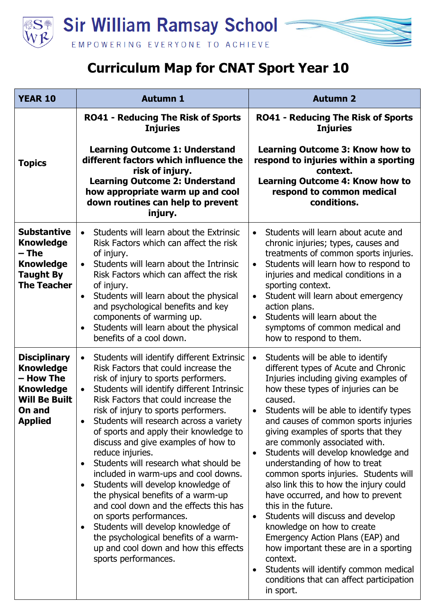

## **Curriculum Map for CNAT Sport Year 10**

| <b>YEAR 10</b>                                                                                                               | <b>Autumn 1</b>                                                                                                                                                                                                                                                                                                                                                                                                                                                                                                                                                                                                                                                                                                                                                                                                                                                  | <b>Autumn 2</b>                                                                                                                                                                                                                                                                                                                                                                                                                                                                                                                                                                                                                                                                                                                                                                                                                                                 |
|------------------------------------------------------------------------------------------------------------------------------|------------------------------------------------------------------------------------------------------------------------------------------------------------------------------------------------------------------------------------------------------------------------------------------------------------------------------------------------------------------------------------------------------------------------------------------------------------------------------------------------------------------------------------------------------------------------------------------------------------------------------------------------------------------------------------------------------------------------------------------------------------------------------------------------------------------------------------------------------------------|-----------------------------------------------------------------------------------------------------------------------------------------------------------------------------------------------------------------------------------------------------------------------------------------------------------------------------------------------------------------------------------------------------------------------------------------------------------------------------------------------------------------------------------------------------------------------------------------------------------------------------------------------------------------------------------------------------------------------------------------------------------------------------------------------------------------------------------------------------------------|
| <b>Topics</b>                                                                                                                | <b>RO41 - Reducing The Risk of Sports</b><br><b>Injuries</b><br><b>Learning Outcome 1: Understand</b><br>different factors which influence the<br>risk of injury.<br><b>Learning Outcome 2: Understand</b><br>how appropriate warm up and cool<br>down routines can help to prevent<br>injury.                                                                                                                                                                                                                                                                                                                                                                                                                                                                                                                                                                   | <b>RO41 - Reducing The Risk of Sports</b><br><b>Injuries</b><br><b>Learning Outcome 3: Know how to</b><br>respond to injuries within a sporting<br>context.<br><b>Learning Outcome 4: Know how to</b><br>respond to common medical<br>conditions.                                                                                                                                                                                                                                                                                                                                                                                                                                                                                                                                                                                                               |
| <b>Substantive</b><br><b>Knowledge</b><br>– The<br><b>Knowledge</b><br><b>Taught By</b><br><b>The Teacher</b>                | Students will learn about the Extrinsic<br>$\bullet$<br>Risk Factors which can affect the risk<br>of injury.<br>Students will learn about the Intrinsic<br>$\bullet$<br>Risk Factors which can affect the risk<br>of injury.<br>Students will learn about the physical<br>$\bullet$<br>and psychological benefits and key<br>components of warming up.<br>Students will learn about the physical<br>$\bullet$<br>benefits of a cool down.                                                                                                                                                                                                                                                                                                                                                                                                                        | Students will learn about acute and<br>$\bullet$<br>chronic injuries; types, causes and<br>treatments of common sports injuries.<br>Students will learn how to respond to<br>$\bullet$<br>injuries and medical conditions in a<br>sporting context.<br>Student will learn about emergency<br>$\bullet$<br>action plans.<br>Students will learn about the<br>$\bullet$<br>symptoms of common medical and<br>how to respond to them.                                                                                                                                                                                                                                                                                                                                                                                                                              |
| <b>Disciplinary</b><br><b>Knowledge</b><br>- How The<br><b>Knowledge</b><br><b>Will Be Built</b><br>On and<br><b>Applied</b> | Students will identify different Extrinsic<br>$\bullet$<br>Risk Factors that could increase the<br>risk of injury to sports performers.<br>Students will identify different Intrinsic<br>$\bullet$<br>Risk Factors that could increase the<br>risk of injury to sports performers.<br>Students will research across a variety<br>$\bullet$<br>of sports and apply their knowledge to<br>discuss and give examples of how to<br>reduce injuries.<br>Students will research what should be<br>٠<br>included in warm-ups and cool downs.<br>Students will develop knowledge of<br>$\bullet$<br>the physical benefits of a warm-up<br>and cool down and the effects this has<br>on sports performances.<br>Students will develop knowledge of<br>$\bullet$<br>the psychological benefits of a warm-<br>up and cool down and how this effects<br>sports performances. | Students will be able to identify<br>$\bullet$<br>different types of Acute and Chronic<br>Injuries including giving examples of<br>how these types of injuries can be<br>caused.<br>Students will be able to identify types<br>$\bullet$<br>and causes of common sports injuries<br>giving examples of sports that they<br>are commonly associated with.<br>Students will develop knowledge and<br>٠<br>understanding of how to treat<br>common sports injuries. Students will<br>also link this to how the injury could<br>have occurred, and how to prevent<br>this in the future.<br>Students will discuss and develop<br>$\bullet$<br>knowledge on how to create<br>Emergency Action Plans (EAP) and<br>how important these are in a sporting<br>context.<br>Students will identify common medical<br>conditions that can affect participation<br>in sport. |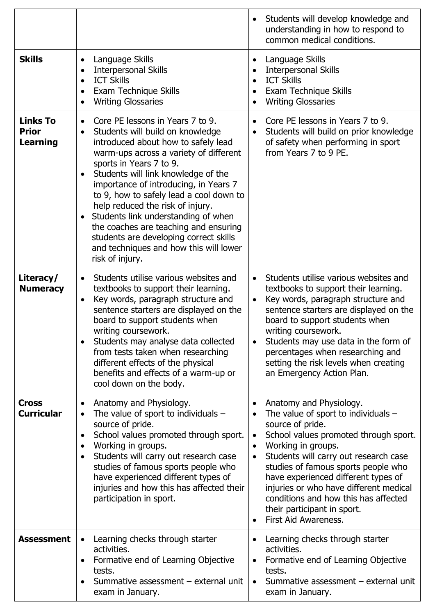|                                                    |                                                                                                                                                                                                                                                                                                                                                                                                                                                                                                                                                                                            | Students will develop knowledge and<br>understanding in how to respond to<br>common medical conditions.                                                                                                                                                                                                                                                                                                                                                                              |
|----------------------------------------------------|--------------------------------------------------------------------------------------------------------------------------------------------------------------------------------------------------------------------------------------------------------------------------------------------------------------------------------------------------------------------------------------------------------------------------------------------------------------------------------------------------------------------------------------------------------------------------------------------|--------------------------------------------------------------------------------------------------------------------------------------------------------------------------------------------------------------------------------------------------------------------------------------------------------------------------------------------------------------------------------------------------------------------------------------------------------------------------------------|
| <b>Skills</b>                                      | Language Skills<br>$\bullet$<br><b>Interpersonal Skills</b><br>$\bullet$<br><b>ICT Skills</b><br>$\bullet$<br>Exam Technique Skills<br>$\bullet$<br><b>Writing Glossaries</b><br>$\bullet$                                                                                                                                                                                                                                                                                                                                                                                                 | Language Skills<br><b>Interpersonal Skills</b><br><b>ICT Skills</b><br>$\bullet$<br>Exam Technique Skills<br>$\bullet$<br><b>Writing Glossaries</b>                                                                                                                                                                                                                                                                                                                                  |
| <b>Links To</b><br><b>Prior</b><br><b>Learning</b> | Core PE lessons in Years 7 to 9.<br>$\bullet$<br>Students will build on knowledge<br>$\bullet$<br>introduced about how to safely lead<br>warm-ups across a variety of different<br>sports in Years 7 to 9.<br>Students will link knowledge of the<br>$\bullet$<br>importance of introducing, in Years 7<br>to 9, how to safely lead a cool down to<br>help reduced the risk of injury.<br>Students link understanding of when<br>$\bullet$<br>the coaches are teaching and ensuring<br>students are developing correct skills<br>and techniques and how this will lower<br>risk of injury. | Core PE lessons in Years 7 to 9.<br>$\bullet$<br>Students will build on prior knowledge<br>$\bullet$<br>of safety when performing in sport<br>from Years 7 to 9 PE.                                                                                                                                                                                                                                                                                                                  |
| Literacy/<br><b>Numeracy</b>                       | Students utilise various websites and<br>$\bullet$<br>textbooks to support their learning.<br>Key words, paragraph structure and<br>$\bullet$<br>sentence starters are displayed on the<br>board to support students when<br>writing coursework.<br>Students may analyse data collected<br>from tests taken when researching<br>different effects of the physical<br>benefits and effects of a warm-up or<br>cool down on the body.                                                                                                                                                        | Students utilise various websites and<br>$\bullet$<br>textbooks to support their learning.<br>Key words, paragraph structure and<br>$\bullet$<br>sentence starters are displayed on the<br>board to support students when<br>writing coursework.<br>Students may use data in the form of<br>percentages when researching and<br>setting the risk levels when creating<br>an Emergency Action Plan.                                                                                   |
| <b>Cross</b><br><b>Curricular</b>                  | Anatomy and Physiology.<br>$\bullet$<br>The value of sport to individuals $-$<br>$\bullet$<br>source of pride.<br>School values promoted through sport.<br>$\bullet$<br>Working in groups.<br>$\bullet$<br>Students will carry out research case<br>$\bullet$<br>studies of famous sports people who<br>have experienced different types of<br>injuries and how this has affected their<br>participation in sport.                                                                                                                                                                         | Anatomy and Physiology.<br>The value of sport to individuals $-$<br>$\bullet$<br>source of pride.<br>School values promoted through sport.<br>$\bullet$<br>Working in groups.<br>$\bullet$<br>Students will carry out research case<br>$\bullet$<br>studies of famous sports people who<br>have experienced different types of<br>injuries or who have different medical<br>conditions and how this has affected<br>their participant in sport.<br>First Aid Awareness.<br>$\bullet$ |
| <b>Assessment</b>                                  | Learning checks through starter<br>$\bullet$<br>activities.<br>Formative end of Learning Objective<br>$\bullet$<br>tests.<br>Summative assessment - external unit<br>$\bullet$<br>exam in January.                                                                                                                                                                                                                                                                                                                                                                                         | Learning checks through starter<br>activities.<br>Formative end of Learning Objective<br>$\bullet$<br>tests.<br>Summative assessment - external unit<br>$\bullet$<br>exam in January.                                                                                                                                                                                                                                                                                                |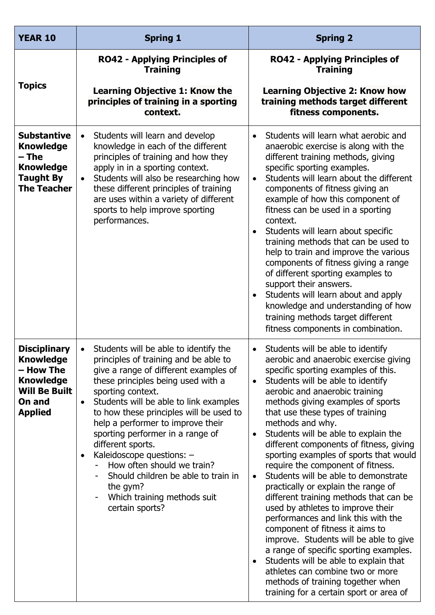| <b>YEAR 10</b>                                                                                                               | <b>Spring 1</b>                                                                                                                                                                                                                                                                                                                                                                                                                                                                                                                                                              | <b>Spring 2</b>                                                                                                                                                                                                                                                                                                                                                                                                                                                                                                                                                                                                                                                                                                                                                                                                                                                                                                                                                                                                   |
|------------------------------------------------------------------------------------------------------------------------------|------------------------------------------------------------------------------------------------------------------------------------------------------------------------------------------------------------------------------------------------------------------------------------------------------------------------------------------------------------------------------------------------------------------------------------------------------------------------------------------------------------------------------------------------------------------------------|-------------------------------------------------------------------------------------------------------------------------------------------------------------------------------------------------------------------------------------------------------------------------------------------------------------------------------------------------------------------------------------------------------------------------------------------------------------------------------------------------------------------------------------------------------------------------------------------------------------------------------------------------------------------------------------------------------------------------------------------------------------------------------------------------------------------------------------------------------------------------------------------------------------------------------------------------------------------------------------------------------------------|
|                                                                                                                              | <b>RO42 - Applying Principles of</b><br><b>Training</b>                                                                                                                                                                                                                                                                                                                                                                                                                                                                                                                      | <b>RO42 - Applying Principles of</b><br><b>Training</b>                                                                                                                                                                                                                                                                                                                                                                                                                                                                                                                                                                                                                                                                                                                                                                                                                                                                                                                                                           |
| <b>Topics</b>                                                                                                                | <b>Learning Objective 1: Know the</b><br>principles of training in a sporting<br>context.                                                                                                                                                                                                                                                                                                                                                                                                                                                                                    | <b>Learning Objective 2: Know how</b><br>training methods target different<br>fitness components.                                                                                                                                                                                                                                                                                                                                                                                                                                                                                                                                                                                                                                                                                                                                                                                                                                                                                                                 |
| <b>Substantive</b><br><b>Knowledge</b><br>– The<br><b>Knowledge</b><br><b>Taught By</b><br><b>The Teacher</b>                | Students will learn and develop<br>$\bullet$<br>knowledge in each of the different<br>principles of training and how they<br>apply in in a sporting context.<br>Students will also be researching how<br>$\bullet$<br>these different principles of training<br>are uses within a variety of different<br>sports to help improve sporting<br>performances.                                                                                                                                                                                                                   | Students will learn what aerobic and<br>$\bullet$<br>anaerobic exercise is along with the<br>different training methods, giving<br>specific sporting examples.<br>Students will learn about the different<br>$\bullet$<br>components of fitness giving an<br>example of how this component of<br>fitness can be used in a sporting<br>context.<br>Students will learn about specific<br>$\bullet$<br>training methods that can be used to<br>help to train and improve the various<br>components of fitness giving a range<br>of different sporting examples to<br>support their answers.<br>Students will learn about and apply<br>$\bullet$<br>knowledge and understanding of how<br>training methods target different<br>fitness components in combination.                                                                                                                                                                                                                                                    |
| <b>Disciplinary</b><br><b>Knowledge</b><br>– How The<br><b>Knowledge</b><br><b>Will Be Built</b><br>On and<br><b>Applied</b> | Students will be able to identify the<br>$\bullet$<br>principles of training and be able to<br>give a range of different examples of<br>these principles being used with a<br>sporting context.<br>Students will be able to link examples<br>$\bullet$<br>to how these principles will be used to<br>help a performer to improve their<br>sporting performer in a range of<br>different sports.<br>Kaleidoscope questions: -<br>$\bullet$<br>How often should we train?<br>Should children be able to train in<br>the gym?<br>Which training methods suit<br>certain sports? | Students will be able to identify<br>$\bullet$<br>aerobic and anaerobic exercise giving<br>specific sporting examples of this.<br>Students will be able to identify<br>$\bullet$<br>aerobic and anaerobic training<br>methods giving examples of sports<br>that use these types of training<br>methods and why.<br>Students will be able to explain the<br>$\bullet$<br>different components of fitness, giving<br>sporting examples of sports that would<br>require the component of fitness.<br>Students will be able to demonstrate<br>$\bullet$<br>practically or explain the range of<br>different training methods that can be<br>used by athletes to improve their<br>performances and link this with the<br>component of fitness it aims to<br>improve. Students will be able to give<br>a range of specific sporting examples.<br>Students will be able to explain that<br>$\bullet$<br>athletes can combine two or more<br>methods of training together when<br>training for a certain sport or area of |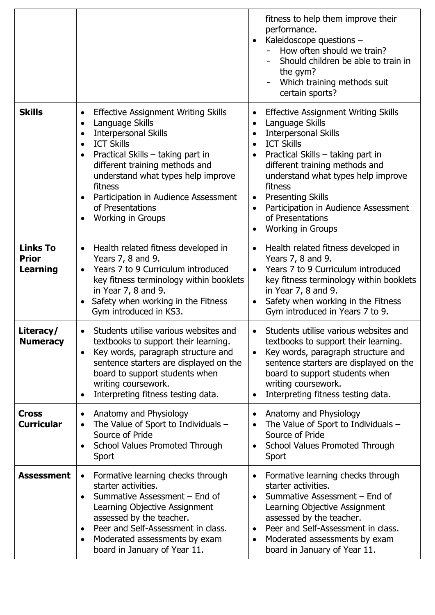|                                                    |                                                                                                                                                                                                                                                                                                                                                                                                         | fitness to help them improve their<br>performance.<br>Kaleidoscope questions -<br>How often should we train?<br>Should children be able to train in<br>the gym?<br>Which training methods suit<br>certain sports?                                                                                                                                                                                                 |
|----------------------------------------------------|---------------------------------------------------------------------------------------------------------------------------------------------------------------------------------------------------------------------------------------------------------------------------------------------------------------------------------------------------------------------------------------------------------|-------------------------------------------------------------------------------------------------------------------------------------------------------------------------------------------------------------------------------------------------------------------------------------------------------------------------------------------------------------------------------------------------------------------|
| <b>Skills</b>                                      | <b>Effective Assignment Writing Skills</b><br>٠<br>Language Skills<br>$\bullet$<br><b>Interpersonal Skills</b><br>$\bullet$<br><b>ICT Skills</b><br>$\bullet$<br>Practical Skills – taking part in<br>$\bullet$<br>different training methods and<br>understand what types help improve<br>fitness<br>Participation in Audience Assessment<br>of Presentations<br><b>Working in Groups</b><br>$\bullet$ | <b>Effective Assignment Writing Skills</b><br>Language Skills<br>$\bullet$<br><b>Interpersonal Skills</b><br>$\bullet$<br><b>ICT Skills</b><br>$\bullet$<br>Practical Skills – taking part in<br>different training methods and<br>understand what types help improve<br>fitness<br><b>Presenting Skills</b><br>$\bullet$<br>Participation in Audience Assessment<br>of Presentations<br><b>Working in Groups</b> |
| <b>Links To</b><br><b>Prior</b><br><b>Learning</b> | Health related fitness developed in<br>$\bullet$<br>Years 7, 8 and 9.<br>Years 7 to 9 Curriculum introduced<br>$\bullet$<br>key fitness terminology within booklets<br>in Year 7, 8 and 9.<br>Safety when working in the Fitness<br>Gym introduced in KS3.                                                                                                                                              | Health related fitness developed in<br>$\bullet$<br>Years 7, 8 and 9.<br>Years 7 to 9 Curriculum introduced<br>$\bullet$<br>key fitness terminology within booklets<br>in Year 7, 8 and 9.<br>Safety when working in the Fitness<br>$\bullet$<br>Gym introduced in Years 7 to 9.                                                                                                                                  |
| Literacy/<br><b>Numeracy</b>                       | Students utilise various websites and<br>$\bullet$<br>textbooks to support their learning.<br>Key words, paragraph structure and<br>$\bullet$<br>sentence starters are displayed on the<br>board to support students when<br>writing coursework.<br>Interpreting fitness testing data.<br>٠                                                                                                             | Students utilise various websites and<br>$\bullet$<br>textbooks to support their learning.<br>Key words, paragraph structure and<br>$\bullet$<br>sentence starters are displayed on the<br>board to support students when<br>writing coursework.<br>Interpreting fitness testing data.<br>$\bullet$                                                                                                               |
| <b>Cross</b><br><b>Curricular</b>                  | Anatomy and Physiology<br>$\bullet$<br>The Value of Sport to Individuals $-$<br>$\bullet$<br>Source of Pride<br>School Values Promoted Through<br>$\bullet$<br>Sport                                                                                                                                                                                                                                    | Anatomy and Physiology<br>The Value of Sport to Individuals $-$<br>$\bullet$<br>Source of Pride<br>School Values Promoted Through<br>$\bullet$<br>Sport                                                                                                                                                                                                                                                           |
| <b>Assessment</b>                                  | Formative learning checks through<br>$\bullet$<br>starter activities.<br>Summative Assessment - End of<br>$\bullet$<br>Learning Objective Assignment<br>assessed by the teacher.<br>Peer and Self-Assessment in class.<br>$\bullet$<br>Moderated assessments by exam<br>$\bullet$<br>board in January of Year 11.                                                                                       | Formative learning checks through<br>starter activities.<br>Summative Assessment – End of<br>Learning Objective Assignment<br>assessed by the teacher.<br>Peer and Self-Assessment in class.<br>$\bullet$<br>Moderated assessments by exam<br>board in January of Year 11.                                                                                                                                        |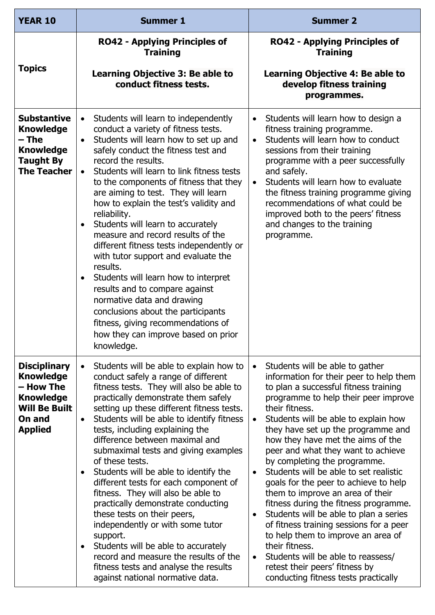| <b>YEAR 10</b>                                                                                                               | <b>Summer 1</b>                                                                                                                                                                                                                                                                                                                                                                                                                                                                                                                                                                                                                                                                                                                                                                                                                                               | <b>Summer 2</b>                                                                                                                                                                                                                                                                                                                                                                                                                                                                                                                                                                                                                                                                                                                                                                                                                                         |
|------------------------------------------------------------------------------------------------------------------------------|---------------------------------------------------------------------------------------------------------------------------------------------------------------------------------------------------------------------------------------------------------------------------------------------------------------------------------------------------------------------------------------------------------------------------------------------------------------------------------------------------------------------------------------------------------------------------------------------------------------------------------------------------------------------------------------------------------------------------------------------------------------------------------------------------------------------------------------------------------------|---------------------------------------------------------------------------------------------------------------------------------------------------------------------------------------------------------------------------------------------------------------------------------------------------------------------------------------------------------------------------------------------------------------------------------------------------------------------------------------------------------------------------------------------------------------------------------------------------------------------------------------------------------------------------------------------------------------------------------------------------------------------------------------------------------------------------------------------------------|
|                                                                                                                              | <b>RO42 - Applying Principles of</b><br><b>Training</b>                                                                                                                                                                                                                                                                                                                                                                                                                                                                                                                                                                                                                                                                                                                                                                                                       | <b>RO42 - Applying Principles of</b><br><b>Training</b>                                                                                                                                                                                                                                                                                                                                                                                                                                                                                                                                                                                                                                                                                                                                                                                                 |
| <b>Topics</b>                                                                                                                | Learning Objective 3: Be able to<br>conduct fitness tests.                                                                                                                                                                                                                                                                                                                                                                                                                                                                                                                                                                                                                                                                                                                                                                                                    | Learning Objective 4: Be able to<br>develop fitness training<br>programmes.                                                                                                                                                                                                                                                                                                                                                                                                                                                                                                                                                                                                                                                                                                                                                                             |
| <b>Substantive</b><br><b>Knowledge</b><br>– The<br><b>Knowledge</b><br><b>Taught By</b><br><b>The Teacher</b>                | Students will learn to independently<br>$\bullet$<br>conduct a variety of fitness tests.<br>Students will learn how to set up and<br>$\bullet$<br>safely conduct the fitness test and<br>record the results.<br>Students will learn to link fitness tests<br>$\bullet$<br>to the components of fitness that they<br>are aiming to test. They will learn<br>how to explain the test's validity and<br>reliability.<br>Students will learn to accurately<br>$\bullet$<br>measure and record results of the<br>different fitness tests independently or<br>with tutor support and evaluate the<br>results.<br>Students will learn how to interpret<br>$\bullet$<br>results and to compare against<br>normative data and drawing<br>conclusions about the participants<br>fitness, giving recommendations of<br>how they can improve based on prior<br>knowledge. | Students will learn how to design a<br>$\bullet$<br>fitness training programme.<br>Students will learn how to conduct<br>$\bullet$<br>sessions from their training<br>programme with a peer successfully<br>and safely.<br>Students will learn how to evaluate<br>$\bullet$<br>the fitness training programme giving<br>recommendations of what could be<br>improved both to the peers' fitness<br>and changes to the training<br>programme.                                                                                                                                                                                                                                                                                                                                                                                                            |
| <b>Disciplinary</b><br><b>Knowledge</b><br>- How The<br><b>Knowledge</b><br><b>Will Be Built</b><br>On and<br><b>Applied</b> | Students will be able to explain how to<br>$\bullet$<br>conduct safely a range of different<br>fitness tests. They will also be able to<br>practically demonstrate them safely<br>setting up these different fitness tests.<br>Students will be able to identify fitness<br>$\bullet$<br>tests, including explaining the<br>difference between maximal and<br>submaximal tests and giving examples<br>of these tests.<br>Students will be able to identify the<br>$\bullet$<br>different tests for each component of<br>fitness. They will also be able to<br>practically demonstrate conducting<br>these tests on their peers,<br>independently or with some tutor<br>support.<br>Students will be able to accurately<br>$\bullet$<br>record and measure the results of the<br>fitness tests and analyse the results<br>against national normative data.     | Students will be able to gather<br>$\bullet$<br>information for their peer to help them<br>to plan a successful fitness training<br>programme to help their peer improve<br>their fitness.<br>Students will be able to explain how<br>$\bullet$<br>they have set up the programme and<br>how they have met the aims of the<br>peer and what they want to achieve<br>by completing the programme.<br>Students will be able to set realistic<br>$\bullet$<br>goals for the peer to achieve to help<br>them to improve an area of their<br>fitness during the fitness programme.<br>Students will be able to plan a series<br>of fitness training sessions for a peer<br>to help them to improve an area of<br>their fitness.<br>Students will be able to reassess/<br>$\bullet$<br>retest their peers' fitness by<br>conducting fitness tests practically |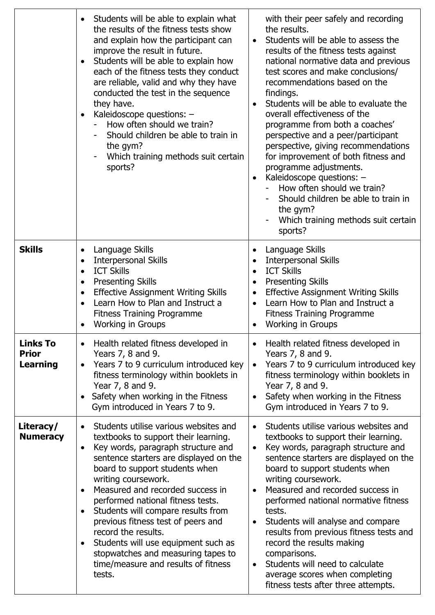|                                                    | Students will be able to explain what<br>$\bullet$<br>the results of the fitness tests show<br>and explain how the participant can<br>improve the result in future.<br>Students will be able to explain how<br>$\bullet$<br>each of the fitness tests they conduct<br>are reliable, valid and why they have<br>conducted the test in the sequence<br>they have.<br>Kaleidoscope questions: -<br>$\bullet$<br>How often should we train?<br>Should children be able to train in<br>the gym?<br>Which training methods suit certain<br>sports?                            | with their peer safely and recording<br>the results.<br>Students will be able to assess the<br>$\bullet$<br>results of the fitness tests against<br>national normative data and previous<br>test scores and make conclusions/<br>recommendations based on the<br>findings.<br>Students will be able to evaluate the<br>overall effectiveness of the<br>programme from both a coaches'<br>perspective and a peer/participant<br>perspective, giving recommendations<br>for improvement of both fitness and<br>programme adjustments.<br>Kaleidoscope questions: -<br>$\bullet$<br>How often should we train?<br>Should children be able to train in<br>the gym?<br>Which training methods suit certain<br>sports? |
|----------------------------------------------------|-------------------------------------------------------------------------------------------------------------------------------------------------------------------------------------------------------------------------------------------------------------------------------------------------------------------------------------------------------------------------------------------------------------------------------------------------------------------------------------------------------------------------------------------------------------------------|------------------------------------------------------------------------------------------------------------------------------------------------------------------------------------------------------------------------------------------------------------------------------------------------------------------------------------------------------------------------------------------------------------------------------------------------------------------------------------------------------------------------------------------------------------------------------------------------------------------------------------------------------------------------------------------------------------------|
| <b>Skills</b>                                      | Language Skills<br>٠<br><b>Interpersonal Skills</b><br>$\bullet$<br><b>ICT Skills</b><br>$\bullet$<br><b>Presenting Skills</b><br>$\bullet$<br><b>Effective Assignment Writing Skills</b><br>$\bullet$<br>Learn How to Plan and Instruct a<br>$\bullet$<br><b>Fitness Training Programme</b><br><b>Working in Groups</b>                                                                                                                                                                                                                                                | Language Skills<br>٠<br><b>Interpersonal Skills</b><br>$\bullet$<br><b>ICT Skills</b><br>$\bullet$<br><b>Presenting Skills</b><br>$\bullet$<br><b>Effective Assignment Writing Skills</b><br>$\bullet$<br>Learn How to Plan and Instruct a<br>$\bullet$<br><b>Fitness Training Programme</b><br><b>Working in Groups</b>                                                                                                                                                                                                                                                                                                                                                                                         |
| <b>Links To</b><br><b>Prior</b><br><b>Learning</b> | Health related fitness developed in<br>$\bullet$<br>Years 7, 8 and 9.<br>Years 7 to 9 curriculum introduced key<br>$\bullet$<br>fitness terminology within booklets in<br>Year 7, 8 and 9.<br>Safety when working in the Fitness<br>$\bullet$<br>Gym introduced in Years 7 to 9.                                                                                                                                                                                                                                                                                        | Health related fitness developed in<br>Years 7, 8 and 9.<br>Years 7 to 9 curriculum introduced key<br>$\bullet$<br>fitness terminology within booklets in<br>Year 7, 8 and 9.<br>Safety when working in the Fitness<br>$\bullet$<br>Gym introduced in Years 7 to 9.                                                                                                                                                                                                                                                                                                                                                                                                                                              |
| Literacy/<br><b>Numeracy</b>                       | Students utilise various websites and<br>$\bullet$<br>textbooks to support their learning.<br>Key words, paragraph structure and<br>$\bullet$<br>sentence starters are displayed on the<br>board to support students when<br>writing coursework.<br>Measured and recorded success in<br>$\bullet$<br>performed national fitness tests.<br>Students will compare results from<br>previous fitness test of peers and<br>record the results.<br>Students will use equipment such as<br>stopwatches and measuring tapes to<br>time/measure and results of fitness<br>tests. | Students utilise various websites and<br>$\bullet$<br>textbooks to support their learning.<br>Key words, paragraph structure and<br>$\bullet$<br>sentence starters are displayed on the<br>board to support students when<br>writing coursework.<br>Measured and recorded success in<br>$\bullet$<br>performed national normative fitness<br>tests.<br>Students will analyse and compare<br>$\bullet$<br>results from previous fitness tests and<br>record the results making<br>comparisons.<br>Students will need to calculate<br>$\bullet$<br>average scores when completing<br>fitness tests after three attempts.                                                                                           |